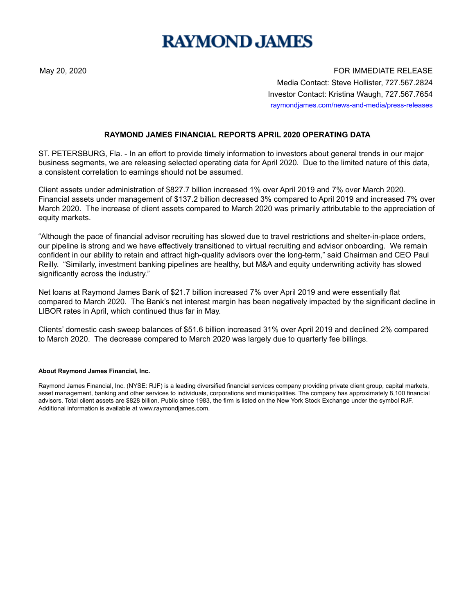## **RAYMOND JAMES**

May 20, 2020 FOR IMMEDIATE RELEASE Media Contact: Steve Hollister, 727.567.2824 Investor Contact: Kristina Waugh, 727.567.7654 raymondjames.com/news-and-media/press-releases

## **RAYMOND JAMES FINANCIAL REPORTS APRIL 2020 OPERATING DATA**

ST. PETERSBURG, Fla. - In an effort to provide timely information to investors about general trends in our major business segments, we are releasing selected operating data for April 2020. Due to the limited nature of this data, a consistent correlation to earnings should not be assumed.

Client assets under administration of \$827.7 billion increased 1% over April 2019 and 7% over March 2020. Financial assets under management of \$137.2 billion decreased 3% compared to April 2019 and increased 7% over March 2020. The increase of client assets compared to March 2020 was primarily attributable to the appreciation of equity markets.

"Although the pace of financial advisor recruiting has slowed due to travel restrictions and shelter-in-place orders, our pipeline is strong and we have effectively transitioned to virtual recruiting and advisor onboarding. We remain confident in our ability to retain and attract high-quality advisors over the long-term," said Chairman and CEO Paul Reilly. "Similarly, investment banking pipelines are healthy, but M&A and equity underwriting activity has slowed significantly across the industry."

Net loans at Raymond James Bank of \$21.7 billion increased 7% over April 2019 and were essentially flat compared to March 2020. The Bank's net interest margin has been negatively impacted by the significant decline in LIBOR rates in April, which continued thus far in May.

Clients' domestic cash sweep balances of \$51.6 billion increased 31% over April 2019 and declined 2% compared to March 2020. The decrease compared to March 2020 was largely due to quarterly fee billings.

## **About Raymond James Financial, Inc.**

Raymond James Financial, Inc. (NYSE: RJF) is a leading diversified financial services company providing private client group, capital markets, asset management, banking and other services to individuals, corporations and municipalities. The company has approximately 8,100 financial advisors. Total client assets are \$828 billion. Public since 1983, the firm is listed on the New York Stock Exchange under the symbol RJF. Additional information is available at www.raymondjames.com.